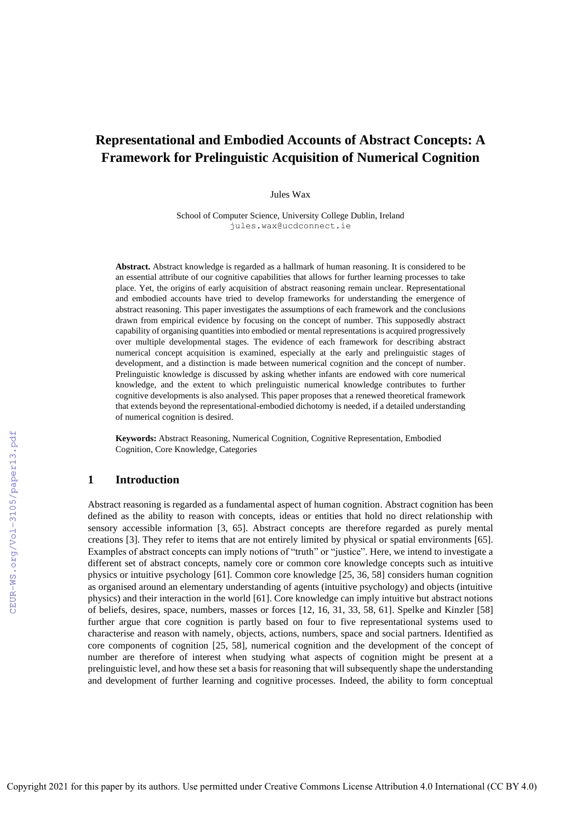# **Representational and Embodied Accounts of Abstract Concepts: A Framework for Prelinguistic Acquisition of Numerical Cognition**

Jules Wax

School of Computer Science, University College Dublin, Ireland jules.wax@ucdconnect.ie

**Abstract.** Abstract knowledge is regarded as a hallmark of human reasoning. It is considered to be an essential attribute of our cognitive capabilities that allows for further learning processes to take place. Yet, the origins of early acquisition of abstract reasoning remain unclear. Representational and embodied accounts have tried to develop frameworks for understanding the emergence of abstract reasoning. This paper investigates the assumptions of each framework and the conclusions drawn from empirical evidence by focusing on the concept of number. This supposedly abstract capability of organising quantities into embodied or mental representations is acquired progressively over multiple developmental stages. The evidence of each framework for describing abstract numerical concept acquisition is examined, especially at the early and prelinguistic stages of development, and a distinction is made between numerical cognition and the concept of number. Prelinguistic knowledge is discussed by asking whether infants are endowed with core numerical knowledge, and the extent to which prelinguistic numerical knowledge contributes to further cognitive developments is also analysed. This paper proposes that a renewed theoretical framework that extends beyond the representational-embodied dichotomy is needed, if a detailed understanding of numerical cognition is desired.

**Keywords:** Abstract Reasoning, Numerical Cognition, Cognitive Representation, Embodied Cognition, Core Knowledge, Categories

## **1 Introduction**

Abstract reasoning is regarded as a fundamental aspect of human cognition. Abstract cognition has been defined as the ability to reason with concepts, ideas or entities that hold no direct relationship with sensory accessible information [3, 65]. Abstract concepts are therefore regarded as purely mental creations [3]. They refer to items that are not entirely limited by physical or spatial environments [65]. Examples of abstract concepts can imply notions of "truth" or "justice". Here, we intend to investigate a different set of abstract concepts, namely core or common core knowledge concepts such as intuitive physics or intuitive psychology [61]. Common core knowledge [25, 36, 58] considers human cognition as organised around an elementary understanding of agents (intuitive psychology) and objects (intuitive physics) and their interaction in the world [61]. Core knowledge can imply intuitive but abstract notions of beliefs, desires, space, numbers, masses or forces [12, 16, 31, 33, 58, 61]. Spelke and Kinzler [58] further argue that core cognition is partly based on four to five representational systems used to characterise and reason with namely, objects, actions, numbers, space and social partners. Identified as core components of cognition [25, 58], numerical cognition and the development of the concept of number are therefore of interest when studying what aspects of cognition might be present at a prelinguistic level, and how these set a basis for reasoning that will subsequently shape the understanding and development of further learning and cognitive processes. Indeed, the ability to form conceptual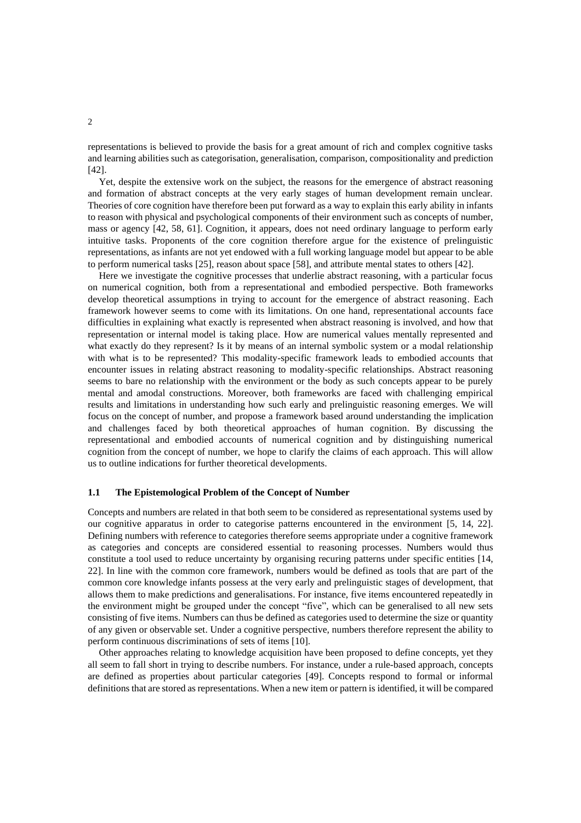representations is believed to provide the basis for a great amount of rich and complex cognitive tasks and learning abilities such as categorisation, generalisation, comparison, compositionality and prediction [42].

Yet, despite the extensive work on the subject, the reasons for the emergence of abstract reasoning and formation of abstract concepts at the very early stages of human development remain unclear. Theories of core cognition have therefore been put forward as a way to explain this early ability in infants to reason with physical and psychological components of their environment such as concepts of number, mass or agency [42, 58, 61]. Cognition, it appears, does not need ordinary language to perform early intuitive tasks. Proponents of the core cognition therefore argue for the existence of prelinguistic representations, as infants are not yet endowed with a full working language model but appear to be able to perform numerical tasks [25], reason about space [58], and attribute mental states to others [42].

Here we investigate the cognitive processes that underlie abstract reasoning, with a particular focus on numerical cognition, both from a representational and embodied perspective. Both frameworks develop theoretical assumptions in trying to account for the emergence of abstract reasoning. Each framework however seems to come with its limitations. On one hand, representational accounts face difficulties in explaining what exactly is represented when abstract reasoning is involved, and how that representation or internal model is taking place. How are numerical values mentally represented and what exactly do they represent? Is it by means of an internal symbolic system or a modal relationship with what is to be represented? This modality-specific framework leads to embodied accounts that encounter issues in relating abstract reasoning to modality-specific relationships. Abstract reasoning seems to bare no relationship with the environment or the body as such concepts appear to be purely mental and amodal constructions. Moreover, both frameworks are faced with challenging empirical results and limitations in understanding how such early and prelinguistic reasoning emerges. We will focus on the concept of number, and propose a framework based around understanding the implication and challenges faced by both theoretical approaches of human cognition. By discussing the representational and embodied accounts of numerical cognition and by distinguishing numerical cognition from the concept of number, we hope to clarify the claims of each approach. This will allow us to outline indications for further theoretical developments.

#### **1.1 The Epistemological Problem of the Concept of Number**

Concepts and numbers are related in that both seem to be considered as representational systems used by our cognitive apparatus in order to categorise patterns encountered in the environment [5, 14, 22]. Defining numbers with reference to categories therefore seems appropriate under a cognitive framework as categories and concepts are considered essential to reasoning processes. Numbers would thus constitute a tool used to reduce uncertainty by organising recuring patterns under specific entities [14, 22]. In line with the common core framework, numbers would be defined as tools that are part of the common core knowledge infants possess at the very early and prelinguistic stages of development, that allows them to make predictions and generalisations. For instance, five items encountered repeatedly in the environment might be grouped under the concept "five", which can be generalised to all new sets consisting of five items. Numbers can thus be defined as categories used to determine the size or quantity of any given or observable set. Under a cognitive perspective, numbers therefore represent the ability to perform continuous discriminations of sets of items [10].

Other approaches relating to knowledge acquisition have been proposed to define concepts, yet they all seem to fall short in trying to describe numbers. For instance, under a rule-based approach, concepts are defined as properties about particular categories [49]. Concepts respond to formal or informal definitions that are stored as representations. When a new item or pattern is identified, it will be compared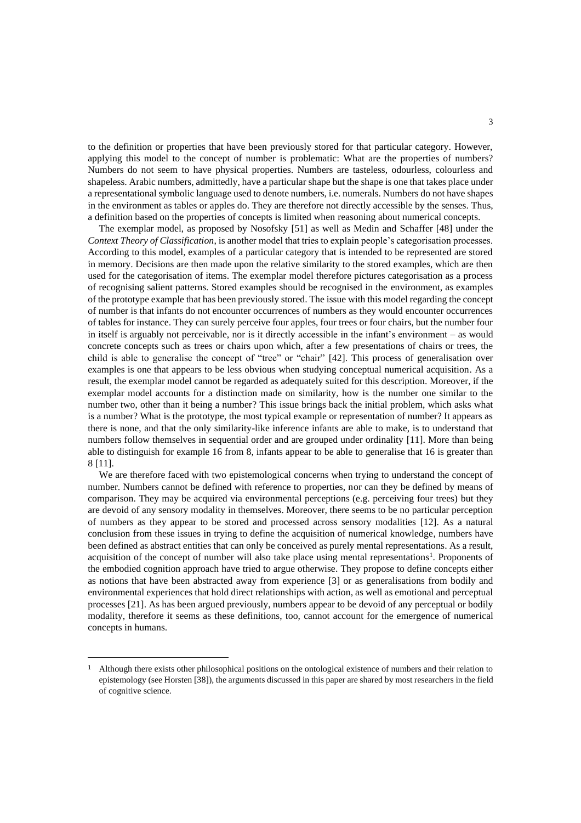to the definition or properties that have been previously stored for that particular category. However, applying this model to the concept of number is problematic: What are the properties of numbers? Numbers do not seem to have physical properties. Numbers are tasteless, odourless, colourless and shapeless. Arabic numbers, admittedly, have a particular shape but the shape is one that takes place under a representational symbolic language used to denote numbers, i.e. numerals. Numbers do not have shapes in the environment as tables or apples do. They are therefore not directly accessible by the senses. Thus, a definition based on the properties of concepts is limited when reasoning about numerical concepts.

The exemplar model, as proposed by Nosofsky [51] as well as Medin and Schaffer [48] under the *Context Theory of Classification*, is another model that tries to explain people's categorisation processes. According to this model, examples of a particular category that is intended to be represented are stored in memory. Decisions are then made upon the relative similarity to the stored examples, which are then used for the categorisation of items. The exemplar model therefore pictures categorisation as a process of recognising salient patterns. Stored examples should be recognised in the environment, as examples of the prototype example that has been previously stored. The issue with this model regarding the concept of number is that infants do not encounter occurrences of numbers as they would encounter occurrences of tables for instance. They can surely perceive four apples, four trees or four chairs, but the number four in itself is arguably not perceivable, nor is it directly accessible in the infant's environment – as would concrete concepts such as trees or chairs upon which, after a few presentations of chairs or trees, the child is able to generalise the concept of "tree" or "chair" [42]. This process of generalisation over examples is one that appears to be less obvious when studying conceptual numerical acquisition. As a result, the exemplar model cannot be regarded as adequately suited for this description. Moreover, if the exemplar model accounts for a distinction made on similarity, how is the number one similar to the number two, other than it being a number? This issue brings back the initial problem, which asks what is a number? What is the prototype, the most typical example or representation of number? It appears as there is none, and that the only similarity-like inference infants are able to make, is to understand that numbers follow themselves in sequential order and are grouped under ordinality [11]. More than being able to distinguish for example 16 from 8, infants appear to be able to generalise that 16 is greater than 8 [11].

We are therefore faced with two epistemological concerns when trying to understand the concept of number. Numbers cannot be defined with reference to properties, nor can they be defined by means of comparison. They may be acquired via environmental perceptions (e.g. perceiving four trees) but they are devoid of any sensory modality in themselves. Moreover, there seems to be no particular perception of numbers as they appear to be stored and processed across sensory modalities [12]. As a natural conclusion from these issues in trying to define the acquisition of numerical knowledge, numbers have been defined as abstract entities that can only be conceived as purely mental representations. As a result, acquisition of the concept of number will also take place using mental representations<sup>1</sup>. Proponents of the embodied cognition approach have tried to argue otherwise. They propose to define concepts either as notions that have been abstracted away from experience [3] or as generalisations from bodily and environmental experiences that hold direct relationships with action, as well as emotional and perceptual processes [21]. As has been argued previously, numbers appear to be devoid of any perceptual or bodily modality, therefore it seems as these definitions, too, cannot account for the emergence of numerical concepts in humans.

<sup>&</sup>lt;sup>1</sup> Although there exists other philosophical positions on the ontological existence of numbers and their relation to epistemology (see Horsten [38]), the arguments discussed in this paper are shared by most researchers in the field of cognitive science.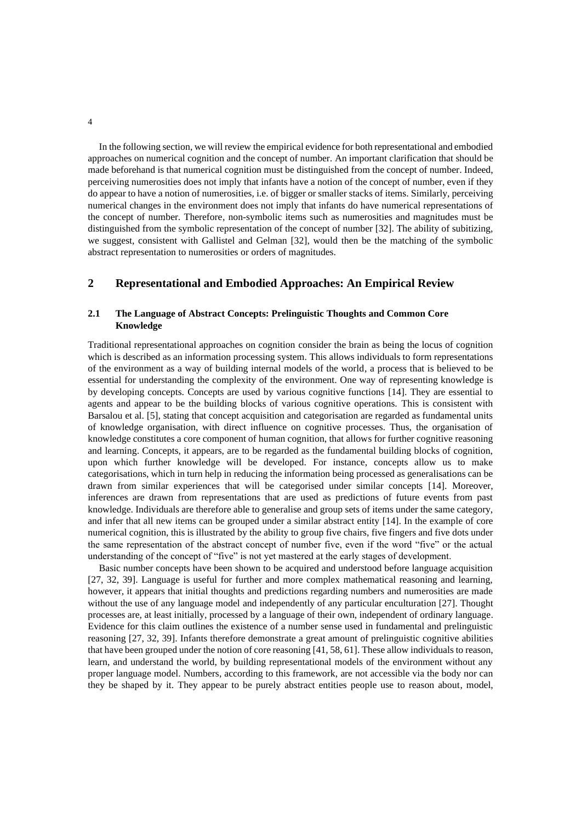In the following section, we will review the empirical evidence for both representational and embodied approaches on numerical cognition and the concept of number. An important clarification that should be made beforehand is that numerical cognition must be distinguished from the concept of number. Indeed, perceiving numerosities does not imply that infants have a notion of the concept of number, even if they do appear to have a notion of numerosities, i.e. of bigger or smaller stacks of items. Similarly, perceiving numerical changes in the environment does not imply that infants do have numerical representations of the concept of number. Therefore, non-symbolic items such as numerosities and magnitudes must be distinguished from the symbolic representation of the concept of number [32]. The ability of subitizing, we suggest, consistent with Gallistel and Gelman [32], would then be the matching of the symbolic abstract representation to numerosities or orders of magnitudes.

## **2 Representational and Embodied Approaches: An Empirical Review**

### **2.1 The Language of Abstract Concepts: Prelinguistic Thoughts and Common Core Knowledge**

Traditional representational approaches on cognition consider the brain as being the locus of cognition which is described as an information processing system. This allows individuals to form representations of the environment as a way of building internal models of the world, a process that is believed to be essential for understanding the complexity of the environment. One way of representing knowledge is by developing concepts. Concepts are used by various cognitive functions [14]. They are essential to agents and appear to be the building blocks of various cognitive operations. This is consistent with Barsalou et al. [5], stating that concept acquisition and categorisation are regarded as fundamental units of knowledge organisation, with direct influence on cognitive processes. Thus, the organisation of knowledge constitutes a core component of human cognition, that allows for further cognitive reasoning and learning. Concepts, it appears, are to be regarded as the fundamental building blocks of cognition, upon which further knowledge will be developed. For instance, concepts allow us to make categorisations, which in turn help in reducing the information being processed as generalisations can be drawn from similar experiences that will be categorised under similar concepts [14]. Moreover, inferences are drawn from representations that are used as predictions of future events from past knowledge. Individuals are therefore able to generalise and group sets of items under the same category, and infer that all new items can be grouped under a similar abstract entity [14]. In the example of core numerical cognition, this is illustrated by the ability to group five chairs, five fingers and five dots under the same representation of the abstract concept of number five, even if the word "five" or the actual understanding of the concept of "five" is not yet mastered at the early stages of development.

Basic number concepts have been shown to be acquired and understood before language acquisition [27, 32, 39]. Language is useful for further and more complex mathematical reasoning and learning, however, it appears that initial thoughts and predictions regarding numbers and numerosities are made without the use of any language model and independently of any particular enculturation [27]. Thought processes are, at least initially, processed by a language of their own, independent of ordinary language. Evidence for this claim outlines the existence of a number sense used in fundamental and prelinguistic reasoning [27, 32, 39]. Infants therefore demonstrate a great amount of prelinguistic cognitive abilities that have been grouped under the notion of core reasoning [41, 58, 61]. These allow individuals to reason, learn, and understand the world, by building representational models of the environment without any proper language model. Numbers, according to this framework, are not accessible via the body nor can they be shaped by it. They appear to be purely abstract entities people use to reason about, model,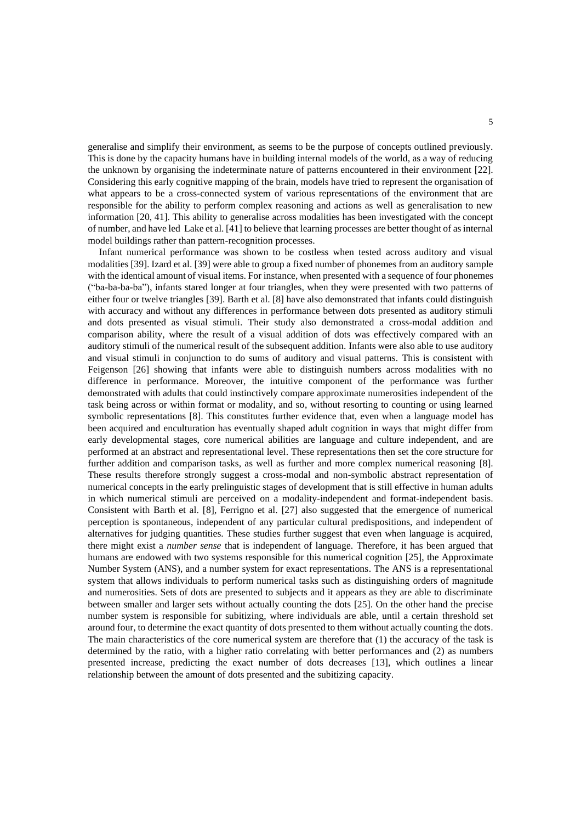generalise and simplify their environment, as seems to be the purpose of concepts outlined previously. This is done by the capacity humans have in building internal models of the world, as a way of reducing the unknown by organising the indeterminate nature of patterns encountered in their environment [22]. Considering this early cognitive mapping of the brain, models have tried to represent the organisation of what appears to be a cross-connected system of various representations of the environment that are responsible for the ability to perform complex reasoning and actions as well as generalisation to new information [20, 41]. This ability to generalise across modalities has been investigated with the concept of number, and have led Lake et al. [41] to believe that learning processes are better thought of as internal model buildings rather than pattern-recognition processes.

Infant numerical performance was shown to be costless when tested across auditory and visual modalities [39]. Izard et al. [39] were able to group a fixed number of phonemes from an auditory sample with the identical amount of visual items. For instance, when presented with a sequence of four phonemes ("ba-ba-ba-ba"), infants stared longer at four triangles, when they were presented with two patterns of either four or twelve triangles [39]. Barth et al. [8] have also demonstrated that infants could distinguish with accuracy and without any differences in performance between dots presented as auditory stimuli and dots presented as visual stimuli. Their study also demonstrated a cross-modal addition and comparison ability, where the result of a visual addition of dots was effectively compared with an auditory stimuli of the numerical result of the subsequent addition. Infants were also able to use auditory and visual stimuli in conjunction to do sums of auditory and visual patterns. This is consistent with Feigenson [26] showing that infants were able to distinguish numbers across modalities with no difference in performance. Moreover, the intuitive component of the performance was further demonstrated with adults that could instinctively compare approximate numerosities independent of the task being across or within format or modality, and so, without resorting to counting or using learned symbolic representations [8]. This constitutes further evidence that, even when a language model has been acquired and enculturation has eventually shaped adult cognition in ways that might differ from early developmental stages, core numerical abilities are language and culture independent, and are performed at an abstract and representational level. These representations then set the core structure for further addition and comparison tasks, as well as further and more complex numerical reasoning [8]. These results therefore strongly suggest a cross-modal and non-symbolic abstract representation of numerical concepts in the early prelinguistic stages of development that is still effective in human adults in which numerical stimuli are perceived on a modality-independent and format-independent basis. Consistent with Barth et al. [8], Ferrigno et al. [27] also suggested that the emergence of numerical perception is spontaneous, independent of any particular cultural predispositions, and independent of alternatives for judging quantities. These studies further suggest that even when language is acquired, there might exist a *number sense* that is independent of language. Therefore, it has been argued that humans are endowed with two systems responsible for this numerical cognition [25], the Approximate Number System (ANS), and a number system for exact representations. The ANS is a representational system that allows individuals to perform numerical tasks such as distinguishing orders of magnitude and numerosities. Sets of dots are presented to subjects and it appears as they are able to discriminate between smaller and larger sets without actually counting the dots [25]. On the other hand the precise number system is responsible for subitizing, where individuals are able, until a certain threshold set around four, to determine the exact quantity of dots presented to them without actually counting the dots. The main characteristics of the core numerical system are therefore that (1) the accuracy of the task is determined by the ratio, with a higher ratio correlating with better performances and (2) as numbers presented increase, predicting the exact number of dots decreases [13], which outlines a linear relationship between the amount of dots presented and the subitizing capacity.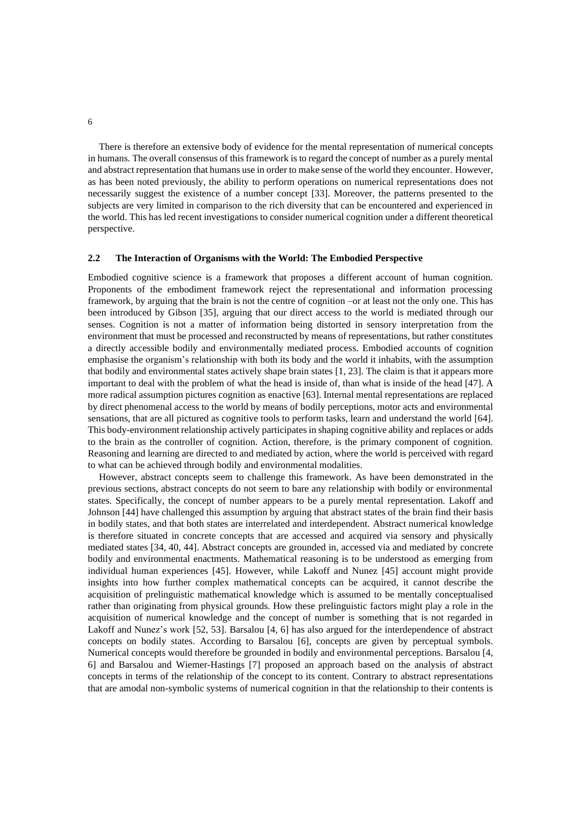There is therefore an extensive body of evidence for the mental representation of numerical concepts in humans. The overall consensus of this framework is to regard the concept of number as a purely mental and abstract representation that humans use in order to make sense of the world they encounter. However, as has been noted previously, the ability to perform operations on numerical representations does not necessarily suggest the existence of a number concept [33]. Moreover, the patterns presented to the subjects are very limited in comparison to the rich diversity that can be encountered and experienced in the world. This has led recent investigations to consider numerical cognition under a different theoretical perspective.

#### **2.2 The Interaction of Organisms with the World: The Embodied Perspective**

Embodied cognitive science is a framework that proposes a different account of human cognition. Proponents of the embodiment framework reject the representational and information processing framework, by arguing that the brain is not the centre of cognition –or at least not the only one. This has been introduced by Gibson [35], arguing that our direct access to the world is mediated through our senses. Cognition is not a matter of information being distorted in sensory interpretation from the environment that must be processed and reconstructed by means of representations, but rather constitutes a directly accessible bodily and environmentally mediated process. Embodied accounts of cognition emphasise the organism's relationship with both its body and the world it inhabits, with the assumption that bodily and environmental states actively shape brain states [1, 23]. The claim is that it appears more important to deal with the problem of what the head is inside of, than what is inside of the head [47]. A more radical assumption pictures cognition as enactive [63]. Internal mental representations are replaced by direct phenomenal access to the world by means of bodily perceptions, motor acts and environmental sensations, that are all pictured as cognitive tools to perform tasks, learn and understand the world [64]. This body-environment relationship actively participatesin shaping cognitive ability and replaces or adds to the brain as the controller of cognition. Action, therefore, is the primary component of cognition. Reasoning and learning are directed to and mediated by action, where the world is perceived with regard to what can be achieved through bodily and environmental modalities.

However, abstract concepts seem to challenge this framework. As have been demonstrated in the previous sections, abstract concepts do not seem to bare any relationship with bodily or environmental states. Specifically, the concept of number appears to be a purely mental representation. Lakoff and Johnson [44] have challenged this assumption by arguing that abstract states of the brain find their basis in bodily states, and that both states are interrelated and interdependent. Abstract numerical knowledge is therefore situated in concrete concepts that are accessed and acquired via sensory and physically mediated states [34, 40, 44]. Abstract concepts are grounded in, accessed via and mediated by concrete bodily and environmental enactments. Mathematical reasoning is to be understood as emerging from individual human experiences [45]. However, while Lakoff and Nunez [45] account might provide insights into how further complex mathematical concepts can be acquired, it cannot describe the acquisition of prelinguistic mathematical knowledge which is assumed to be mentally conceptualised rather than originating from physical grounds. How these prelinguistic factors might play a role in the acquisition of numerical knowledge and the concept of number is something that is not regarded in Lakoff and Nunez's work [52, 53]. Barsalou [4, 6] has also argued for the interdependence of abstract concepts on bodily states. According to Barsalou [6], concepts are given by perceptual symbols. Numerical concepts would therefore be grounded in bodily and environmental perceptions. Barsalou [4, 6] and Barsalou and Wiemer-Hastings [7] proposed an approach based on the analysis of abstract concepts in terms of the relationship of the concept to its content. Contrary to abstract representations that are amodal non-symbolic systems of numerical cognition in that the relationship to their contents is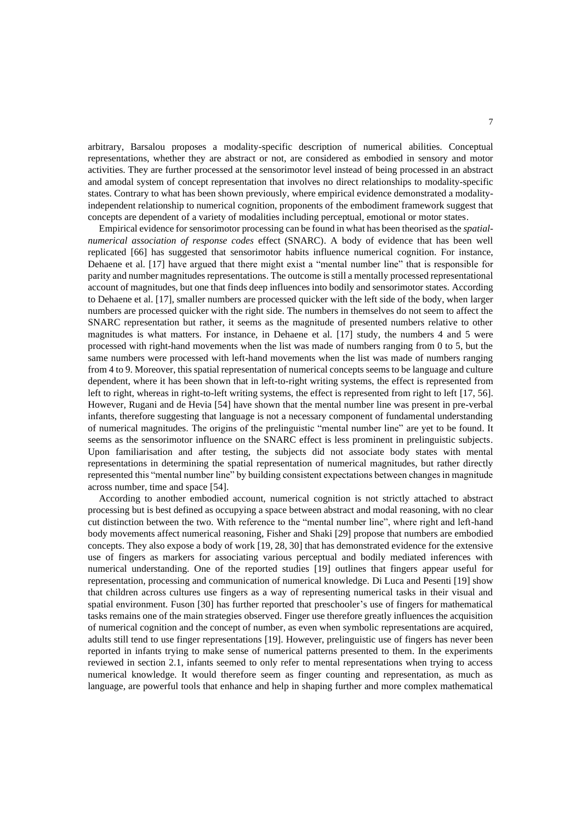arbitrary, Barsalou proposes a modality-specific description of numerical abilities. Conceptual representations, whether they are abstract or not, are considered as embodied in sensory and motor activities. They are further processed at the sensorimotor level instead of being processed in an abstract and amodal system of concept representation that involves no direct relationships to modality-specific states. Contrary to what has been shown previously, where empirical evidence demonstrated a modalityindependent relationship to numerical cognition, proponents of the embodiment framework suggest that concepts are dependent of a variety of modalities including perceptual, emotional or motor states.

Empirical evidence for sensorimotor processing can be found in what has been theorised as the *spatialnumerical association of response codes* effect (SNARC). A body of evidence that has been well replicated [66] has suggested that sensorimotor habits influence numerical cognition. For instance, Dehaene et al. [17] have argued that there might exist a "mental number line" that is responsible for parity and number magnitudes representations. The outcome is still a mentally processed representational account of magnitudes, but one that finds deep influences into bodily and sensorimotor states. According to Dehaene et al. [17], smaller numbers are processed quicker with the left side of the body, when larger numbers are processed quicker with the right side. The numbers in themselves do not seem to affect the SNARC representation but rather, it seems as the magnitude of presented numbers relative to other magnitudes is what matters. For instance, in Dehaene et al. [17] study, the numbers 4 and 5 were processed with right-hand movements when the list was made of numbers ranging from 0 to 5, but the same numbers were processed with left-hand movements when the list was made of numbers ranging from 4 to 9. Moreover, this spatial representation of numerical concepts seems to be language and culture dependent, where it has been shown that in left-to-right writing systems, the effect is represented from left to right, whereas in right-to-left writing systems, the effect is represented from right to left [17, 56]. However, Rugani and de Hevia [54] have shown that the mental number line was present in pre-verbal infants, therefore suggesting that language is not a necessary component of fundamental understanding of numerical magnitudes. The origins of the prelinguistic "mental number line" are yet to be found. It seems as the sensorimotor influence on the SNARC effect is less prominent in prelinguistic subjects. Upon familiarisation and after testing, the subjects did not associate body states with mental representations in determining the spatial representation of numerical magnitudes, but rather directly represented this "mental number line" by building consistent expectations between changes in magnitude across number, time and space [54].

According to another embodied account, numerical cognition is not strictly attached to abstract processing but is best defined as occupying a space between abstract and modal reasoning, with no clear cut distinction between the two. With reference to the "mental number line", where right and left-hand body movements affect numerical reasoning, Fisher and Shaki [29] propose that numbers are embodied concepts. They also expose a body of work [19, 28, 30] that has demonstrated evidence for the extensive use of fingers as markers for associating various perceptual and bodily mediated inferences with numerical understanding. One of the reported studies [19] outlines that fingers appear useful for representation, processing and communication of numerical knowledge. Di Luca and Pesenti [19] show that children across cultures use fingers as a way of representing numerical tasks in their visual and spatial environment. Fuson [30] has further reported that preschooler's use of fingers for mathematical tasks remains one of the main strategies observed. Finger use therefore greatly influences the acquisition of numerical cognition and the concept of number, as even when symbolic representations are acquired, adults still tend to use finger representations [19]. However, prelinguistic use of fingers has never been reported in infants trying to make sense of numerical patterns presented to them. In the experiments reviewed in section 2.1, infants seemed to only refer to mental representations when trying to access numerical knowledge. It would therefore seem as finger counting and representation, as much as language, are powerful tools that enhance and help in shaping further and more complex mathematical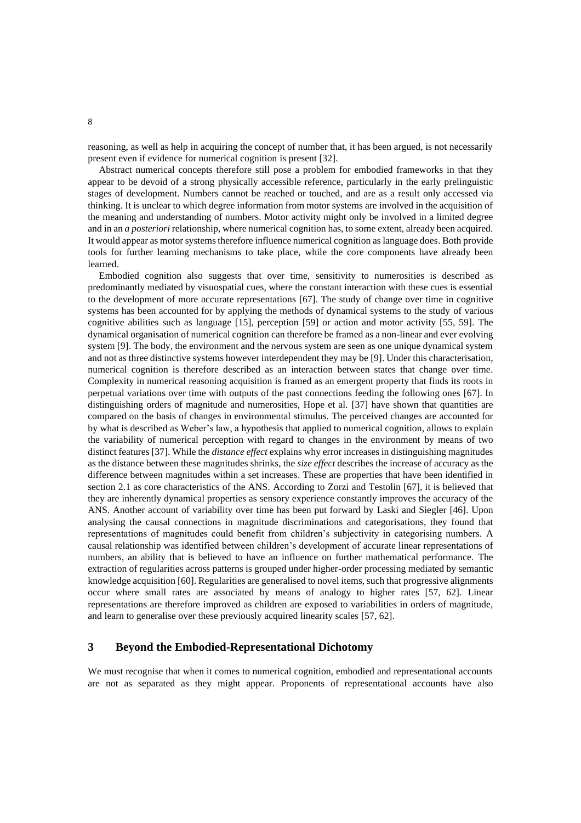reasoning, as well as help in acquiring the concept of number that, it has been argued, is not necessarily present even if evidence for numerical cognition is present [32].

Abstract numerical concepts therefore still pose a problem for embodied frameworks in that they appear to be devoid of a strong physically accessible reference, particularly in the early prelinguistic stages of development. Numbers cannot be reached or touched, and are as a result only accessed via thinking. It is unclear to which degree information from motor systems are involved in the acquisition of the meaning and understanding of numbers. Motor activity might only be involved in a limited degree and in an *a posteriori* relationship, where numerical cognition has, to some extent, already been acquired. It would appear as motor systems therefore influence numerical cognition as language does. Both provide tools for further learning mechanisms to take place, while the core components have already been learned.

Embodied cognition also suggests that over time, sensitivity to numerosities is described as predominantly mediated by visuospatial cues, where the constant interaction with these cues is essential to the development of more accurate representations [67]. The study of change over time in cognitive systems has been accounted for by applying the methods of dynamical systems to the study of various cognitive abilities such as language [15], perception [59] or action and motor activity [55, 59]. The dynamical organisation of numerical cognition can therefore be framed as a non-linear and ever evolving system [9]. The body, the environment and the nervous system are seen as one unique dynamical system and not as three distinctive systems however interdependent they may be [9]. Under this characterisation, numerical cognition is therefore described as an interaction between states that change over time. Complexity in numerical reasoning acquisition is framed as an emergent property that finds its roots in perpetual variations over time with outputs of the past connections feeding the following ones [67]. In distinguishing orders of magnitude and numerosities, Hope et al. [37] have shown that quantities are compared on the basis of changes in environmental stimulus. The perceived changes are accounted for by what is described as Weber's law, a hypothesis that applied to numerical cognition, allows to explain the variability of numerical perception with regard to changes in the environment by means of two distinct features [37]. While the *distance effect* explains why error increases in distinguishing magnitudes as the distance between these magnitudes shrinks, the *size effect* describes the increase of accuracy as the difference between magnitudes within a set increases. These are properties that have been identified in section 2.1 as core characteristics of the ANS. According to Zorzi and Testolin [67], it is believed that they are inherently dynamical properties as sensory experience constantly improves the accuracy of the ANS. Another account of variability over time has been put forward by Laski and Siegler [46]. Upon analysing the causal connections in magnitude discriminations and categorisations, they found that representations of magnitudes could benefit from children's subjectivity in categorising numbers. A causal relationship was identified between children's development of accurate linear representations of numbers, an ability that is believed to have an influence on further mathematical performance. The extraction of regularities across patterns is grouped under higher-order processing mediated by semantic knowledge acquisition [60]. Regularities are generalised to novel items, such that progressive alignments occur where small rates are associated by means of analogy to higher rates [57, 62]. Linear representations are therefore improved as children are exposed to variabilities in orders of magnitude, and learn to generalise over these previously acquired linearity scales [57, 62].

## **3 Beyond the Embodied-Representational Dichotomy**

We must recognise that when it comes to numerical cognition, embodied and representational accounts are not as separated as they might appear. Proponents of representational accounts have also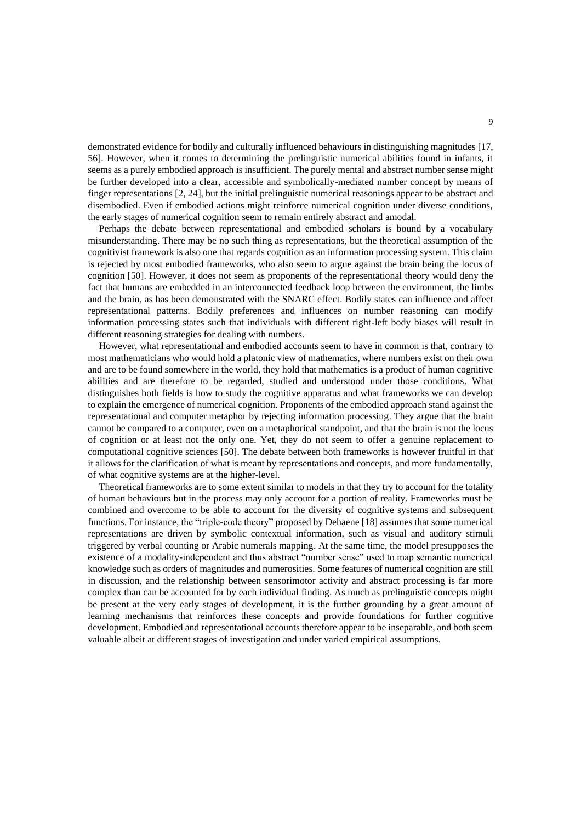demonstrated evidence for bodily and culturally influenced behaviours in distinguishing magnitudes [17, 56]. However, when it comes to determining the prelinguistic numerical abilities found in infants, it seems as a purely embodied approach is insufficient. The purely mental and abstract number sense might be further developed into a clear, accessible and symbolically-mediated number concept by means of finger representations [2, 24], but the initial prelinguistic numerical reasonings appear to be abstract and disembodied. Even if embodied actions might reinforce numerical cognition under diverse conditions, the early stages of numerical cognition seem to remain entirely abstract and amodal.

Perhaps the debate between representational and embodied scholars is bound by a vocabulary misunderstanding. There may be no such thing as representations, but the theoretical assumption of the cognitivist framework is also one that regards cognition as an information processing system. This claim is rejected by most embodied frameworks, who also seem to argue against the brain being the locus of cognition [50]. However, it does not seem as proponents of the representational theory would deny the fact that humans are embedded in an interconnected feedback loop between the environment, the limbs and the brain, as has been demonstrated with the SNARC effect. Bodily states can influence and affect representational patterns. Bodily preferences and influences on number reasoning can modify information processing states such that individuals with different right-left body biases will result in different reasoning strategies for dealing with numbers.

However, what representational and embodied accounts seem to have in common is that, contrary to most mathematicians who would hold a platonic view of mathematics, where numbers exist on their own and are to be found somewhere in the world, they hold that mathematics is a product of human cognitive abilities and are therefore to be regarded, studied and understood under those conditions. What distinguishes both fields is how to study the cognitive apparatus and what frameworks we can develop to explain the emergence of numerical cognition. Proponents of the embodied approach stand against the representational and computer metaphor by rejecting information processing. They argue that the brain cannot be compared to a computer, even on a metaphorical standpoint, and that the brain is not the locus of cognition or at least not the only one. Yet, they do not seem to offer a genuine replacement to computational cognitive sciences [50]. The debate between both frameworks is however fruitful in that it allows for the clarification of what is meant by representations and concepts, and more fundamentally, of what cognitive systems are at the higher-level.

Theoretical frameworks are to some extent similar to models in that they try to account for the totality of human behaviours but in the process may only account for a portion of reality. Frameworks must be combined and overcome to be able to account for the diversity of cognitive systems and subsequent functions. For instance, the "triple-code theory" proposed by Dehaene [18] assumes that some numerical representations are driven by symbolic contextual information, such as visual and auditory stimuli triggered by verbal counting or Arabic numerals mapping. At the same time, the model presupposes the existence of a modality-independent and thus abstract "number sense" used to map semantic numerical knowledge such as orders of magnitudes and numerosities. Some features of numerical cognition are still in discussion, and the relationship between sensorimotor activity and abstract processing is far more complex than can be accounted for by each individual finding. As much as prelinguistic concepts might be present at the very early stages of development, it is the further grounding by a great amount of learning mechanisms that reinforces these concepts and provide foundations for further cognitive development. Embodied and representational accounts therefore appear to be inseparable, and both seem valuable albeit at different stages of investigation and under varied empirical assumptions.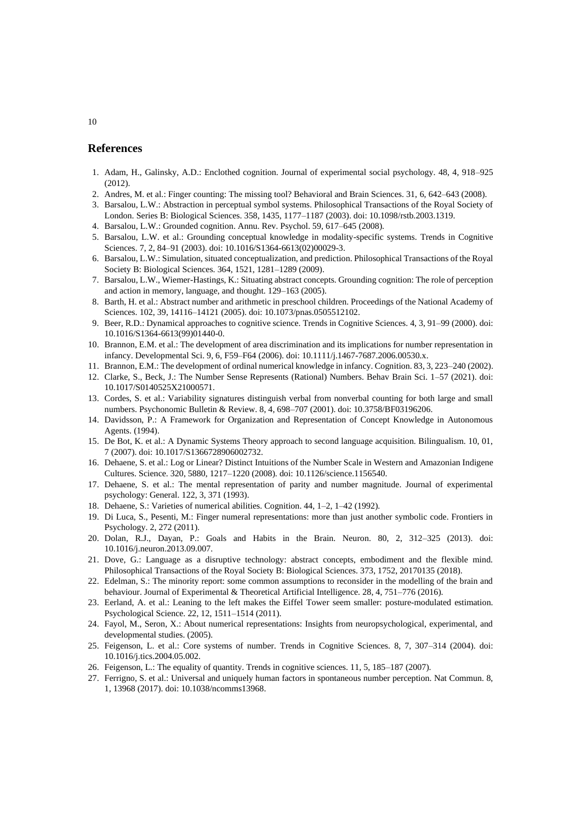### **References**

- 1. Adam, H., Galinsky, A.D.: Enclothed cognition. Journal of experimental social psychology. 48, 4, 918–925 (2012).
- 2. Andres, M. et al.: Finger counting: The missing tool? Behavioral and Brain Sciences. 31, 6, 642–643 (2008).
- 3. Barsalou, L.W.: Abstraction in perceptual symbol systems. Philosophical Transactions of the Royal Society of London. Series B: Biological Sciences. 358, 1435, 1177–1187 (2003). doi: 10.1098/rstb.2003.1319.
- 4. Barsalou, L.W.: Grounded cognition. Annu. Rev. Psychol. 59, 617–645 (2008).
- 5. Barsalou, L.W. et al.: Grounding conceptual knowledge in modality-specific systems. Trends in Cognitive Sciences. 7, 2, 84–91 (2003). doi: 10.1016/S1364-6613(02)00029-3.
- 6. Barsalou, L.W.: Simulation, situated conceptualization, and prediction. Philosophical Transactions of the Royal Society B: Biological Sciences. 364, 1521, 1281–1289 (2009).
- 7. Barsalou, L.W., Wiemer-Hastings, K.: Situating abstract concepts. Grounding cognition: The role of perception and action in memory, language, and thought. 129–163 (2005).
- 8. Barth, H. et al.: Abstract number and arithmetic in preschool children. Proceedings of the National Academy of Sciences. 102, 39, 14116–14121 (2005). doi: 10.1073/pnas.0505512102.
- 9. Beer, R.D.: Dynamical approaches to cognitive science. Trends in Cognitive Sciences. 4, 3, 91–99 (2000). doi: 10.1016/S1364-6613(99)01440-0.
- 10. Brannon, E.M. et al.: The development of area discrimination and its implications for number representation in infancy. Developmental Sci. 9, 6, F59–F64 (2006). doi: 10.1111/j.1467-7687.2006.00530.x.
- 11. Brannon, E.M.: The development of ordinal numerical knowledge in infancy. Cognition. 83, 3, 223–240 (2002).
- 12. Clarke, S., Beck, J.: The Number Sense Represents (Rational) Numbers. Behav Brain Sci. 1–57 (2021). doi: 10.1017/S0140525X21000571.
- 13. Cordes, S. et al.: Variability signatures distinguish verbal from nonverbal counting for both large and small numbers. Psychonomic Bulletin & Review. 8, 4, 698–707 (2001). doi: 10.3758/BF03196206.
- 14. Davidsson, P.: A Framework for Organization and Representation of Concept Knowledge in Autonomous Agents. (1994).
- 15. De Bot, K. et al.: A Dynamic Systems Theory approach to second language acquisition. Bilingualism. 10, 01, 7 (2007). doi: 10.1017/S1366728906002732.
- 16. Dehaene, S. et al.: Log or Linear? Distinct Intuitions of the Number Scale in Western and Amazonian Indigene Cultures. Science. 320, 5880, 1217–1220 (2008). doi: 10.1126/science.1156540.
- 17. Dehaene, S. et al.: The mental representation of parity and number magnitude. Journal of experimental psychology: General. 122, 3, 371 (1993).
- 18. Dehaene, S.: Varieties of numerical abilities. Cognition. 44, 1–2, 1–42 (1992).
- 19. Di Luca, S., Pesenti, M.: Finger numeral representations: more than just another symbolic code. Frontiers in Psychology. 2, 272 (2011).
- 20. Dolan, R.J., Dayan, P.: Goals and Habits in the Brain. Neuron. 80, 2, 312–325 (2013). doi: 10.1016/j.neuron.2013.09.007.
- 21. Dove, G.: Language as a disruptive technology: abstract concepts, embodiment and the flexible mind. Philosophical Transactions of the Royal Society B: Biological Sciences. 373, 1752, 20170135 (2018).
- 22. Edelman, S.: The minority report: some common assumptions to reconsider in the modelling of the brain and behaviour. Journal of Experimental & Theoretical Artificial Intelligence. 28, 4, 751–776 (2016).
- 23. Eerland, A. et al.: Leaning to the left makes the Eiffel Tower seem smaller: posture-modulated estimation. Psychological Science. 22, 12, 1511–1514 (2011).
- 24. Fayol, M., Seron, X.: About numerical representations: Insights from neuropsychological, experimental, and developmental studies. (2005).
- 25. Feigenson, L. et al.: Core systems of number. Trends in Cognitive Sciences. 8, 7, 307–314 (2004). doi: 10.1016/j.tics.2004.05.002.
- 26. Feigenson, L.: The equality of quantity. Trends in cognitive sciences. 11, 5, 185–187 (2007).
- 27. Ferrigno, S. et al.: Universal and uniquely human factors in spontaneous number perception. Nat Commun. 8, 1, 13968 (2017). doi: 10.1038/ncomms13968.

#### 10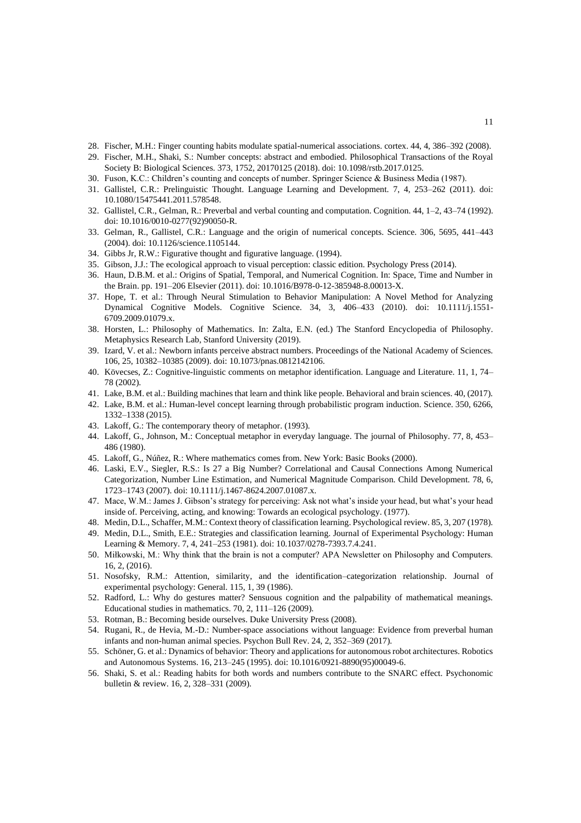- 28. Fischer, M.H.: Finger counting habits modulate spatial-numerical associations. cortex. 44, 4, 386–392 (2008).
- 29. Fischer, M.H., Shaki, S.: Number concepts: abstract and embodied. Philosophical Transactions of the Royal Society B: Biological Sciences. 373, 1752, 20170125 (2018). doi: 10.1098/rstb.2017.0125.
- 30. Fuson, K.C.: Children's counting and concepts of number. Springer Science & Business Media (1987).
- 31. Gallistel, C.R.: Prelinguistic Thought. Language Learning and Development. 7, 4, 253–262 (2011). doi: 10.1080/15475441.2011.578548.
- 32. Gallistel, C.R., Gelman, R.: Preverbal and verbal counting and computation. Cognition. 44, 1–2, 43–74 (1992). doi: 10.1016/0010-0277(92)90050-R.
- 33. Gelman, R., Gallistel, C.R.: Language and the origin of numerical concepts. Science. 306, 5695, 441–443 (2004). doi: 10.1126/science.1105144.
- 34. Gibbs Jr, R.W.: Figurative thought and figurative language. (1994).
- 35. Gibson, J.J.: The ecological approach to visual perception: classic edition. Psychology Press (2014).
- 36. Haun, D.B.M. et al.: Origins of Spatial, Temporal, and Numerical Cognition. In: Space, Time and Number in the Brain. pp. 191–206 Elsevier (2011). doi: 10.1016/B978-0-12-385948-8.00013-X.
- 37. Hope, T. et al.: Through Neural Stimulation to Behavior Manipulation: A Novel Method for Analyzing Dynamical Cognitive Models. Cognitive Science. 34, 3, 406–433 (2010). doi: 10.1111/j.1551- 6709.2009.01079.x.
- 38. Horsten, L.: Philosophy of Mathematics. In: Zalta, E.N. (ed.) The Stanford Encyclopedia of Philosophy. Metaphysics Research Lab, Stanford University (2019).
- 39. Izard, V. et al.: Newborn infants perceive abstract numbers. Proceedings of the National Academy of Sciences. 106, 25, 10382–10385 (2009). doi: 10.1073/pnas.0812142106.
- 40. Kövecses, Z.: Cognitive-linguistic comments on metaphor identification. Language and Literature. 11, 1, 74– 78 (2002).
- 41. Lake, B.M. et al.: Building machines that learn and think like people. Behavioral and brain sciences. 40, (2017).
- 42. Lake, B.M. et al.: Human-level concept learning through probabilistic program induction. Science. 350, 6266, 1332–1338 (2015).
- 43. Lakoff, G.: The contemporary theory of metaphor. (1993).
- 44. Lakoff, G., Johnson, M.: Conceptual metaphor in everyday language. The journal of Philosophy. 77, 8, 453– 486 (1980).
- 45. Lakoff, G., Núñez, R.: Where mathematics comes from. New York: Basic Books (2000).
- 46. Laski, E.V., Siegler, R.S.: Is 27 a Big Number? Correlational and Causal Connections Among Numerical Categorization, Number Line Estimation, and Numerical Magnitude Comparison. Child Development. 78, 6, 1723–1743 (2007). doi: 10.1111/j.1467-8624.2007.01087.x.
- 47. Mace, W.M.: James J. Gibson's strategy for perceiving: Ask not what's inside your head, but what's your head inside of. Perceiving, acting, and knowing: Towards an ecological psychology. (1977).
- 48. Medin, D.L., Schaffer, M.M.: Context theory of classification learning. Psychological review. 85, 3, 207 (1978).
- 49. Medin, D.L., Smith, E.E.: Strategies and classification learning. Journal of Experimental Psychology: Human Learning & Memory. 7, 4, 241–253 (1981). doi: 10.1037/0278-7393.7.4.241.
- 50. Miłkowski, M.: Why think that the brain is not a computer? APA Newsletter on Philosophy and Computers. 16, 2, (2016).
- 51. Nosofsky, R.M.: Attention, similarity, and the identification–categorization relationship. Journal of experimental psychology: General. 115, 1, 39 (1986).
- 52. Radford, L.: Why do gestures matter? Sensuous cognition and the palpability of mathematical meanings. Educational studies in mathematics. 70, 2, 111–126 (2009).
- 53. Rotman, B.: Becoming beside ourselves. Duke University Press (2008).
- 54. Rugani, R., de Hevia, M.-D.: Number-space associations without language: Evidence from preverbal human infants and non-human animal species. Psychon Bull Rev. 24, 2, 352–369 (2017).
- 55. Schöner, G. et al.: Dynamics of behavior: Theory and applications for autonomous robot architectures. Robotics and Autonomous Systems. 16, 213–245 (1995). doi: 10.1016/0921-8890(95)00049-6.
- 56. Shaki, S. et al.: Reading habits for both words and numbers contribute to the SNARC effect. Psychonomic bulletin & review. 16, 2, 328–331 (2009).